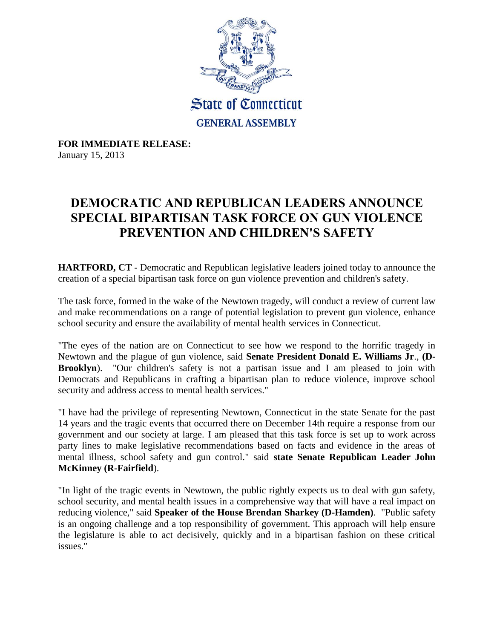

**FOR IMMEDIATE RELEASE:** January 15, 2013

## **DEMOCRATIC AND REPUBLICAN LEADERS ANNOUNCE SPECIAL BIPARTISAN TASK FORCE ON GUN VIOLENCE PREVENTION AND CHILDREN'S SAFETY**

**HARTFORD, CT** - Democratic and Republican legislative leaders joined today to announce the creation of a special bipartisan task force on gun violence prevention and children's safety.

The task force, formed in the wake of the Newtown tragedy, will conduct a review of current law and make recommendations on a range of potential legislation to prevent gun violence, enhance school security and ensure the availability of mental health services in Connecticut.

"The eyes of the nation are on Connecticut to see how we respond to the horrific tragedy in Newtown and the plague of gun violence, said **Senate President Donald E. Williams Jr**., **(D-Brooklyn**). "Our children's safety is not a partisan issue and I am pleased to join with Democrats and Republicans in crafting a bipartisan plan to reduce violence, improve school security and address access to mental health services."

"I have had the privilege of representing Newtown, Connecticut in the state Senate for the past 14 years and the tragic events that occurred there on December 14th require a response from our government and our society at large. I am pleased that this task force is set up to work across party lines to make legislative recommendations based on facts and evidence in the areas of mental illness, school safety and gun control." said **state Senate Republican Leader John McKinney (R-Fairfield**).

"In light of the tragic events in Newtown, the public rightly expects us to deal with gun safety, school security, and mental health issues in a comprehensive way that will have a real impact on reducing violence," said **Speaker of the House Brendan Sharkey (D-Hamden)**. "Public safety is an ongoing challenge and a top responsibility of government. This approach will help ensure the legislature is able to act decisively, quickly and in a bipartisan fashion on these critical issues."